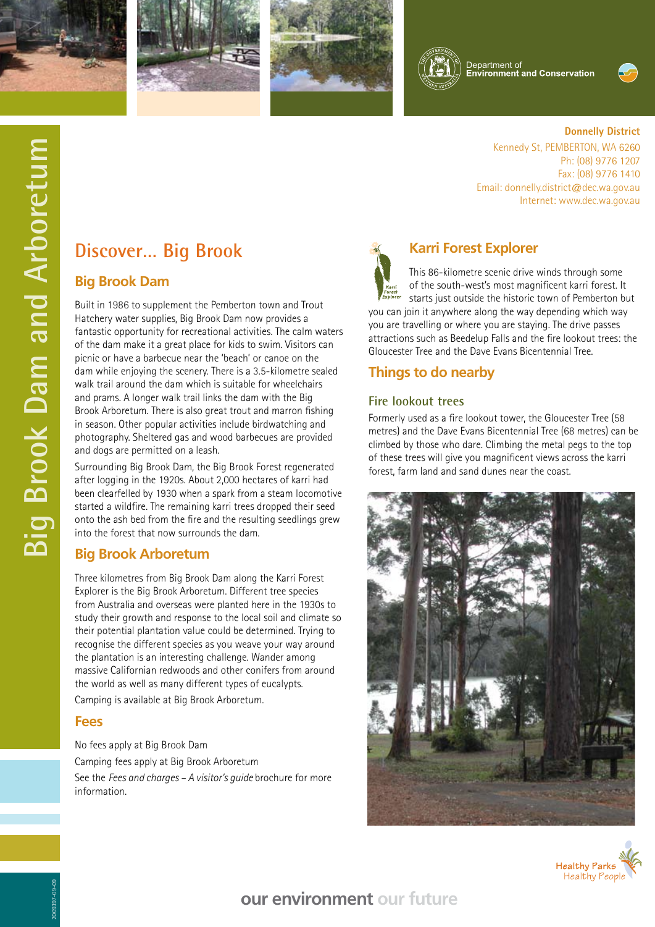







.<br>Department of<br>E<mark>nvironment and Conservation</mark>



**Donnelly District**

Ph: (08) 9776 1207 Fax: (08) 9776 1410

Kennedy St, PEMBERTON, WA 6260

Internet: www.dec.wa.gov.au

Email: donnelly.district@dec.wa.gov.au

# **Big Brook Dam and Arboretum Big Brook Dam and Arboretum**

# **Discover… Big Brook**

### **Big Brook Dam**

Built in 1986 to supplement the Pemberton town and Trout Hatchery water supplies, Big Brook Dam now provides a fantastic opportunity for recreational activities. The calm waters of the dam make it a great place for kids to swim. Visitors can picnic or have a barbecue near the 'beach' or canoe on the dam while enjoying the scenery. There is a 3.5-kilometre sealed walk trail around the dam which is suitable for wheelchairs and prams. A longer walk trail links the dam with the Big Brook Arboretum. There is also great trout and marron fishing in season. Other popular activities include birdwatching and photography. Sheltered gas and wood barbecues are provided and dogs are permitted on a leash.

Surrounding Big Brook Dam, the Big Brook Forest regenerated after logging in the 1920s. About 2,000 hectares of karri had been clearfelled by 1930 when a spark from a steam locomotive started a wildfire. The remaining karri trees dropped their seed onto the ash bed from the fire and the resulting seedlings grew into the forest that now surrounds the dam.

### **Big Brook Arboretum**

Three kilometres from Big Brook Dam along the Karri Forest Explorer is the Big Brook Arboretum. Different tree species from Australia and overseas were planted here in the 1930s to study their growth and response to the local soil and climate so their potential plantation value could be determined. Trying to recognise the different species as you weave your way around the plantation is an interesting challenge. Wander among massive Californian redwoods and other conifers from around the world as well as many different types of eucalypts. Camping is available at Big Brook Arboretum.

### **Fees**

No fees apply at Big Brook Dam Camping fees apply at Big Brook Arboretum See the *Fees and charges – A visitor's guide* brochure for more information.



### **Karri Forest Explorer**

This 86-kilometre scenic drive winds through some of the south-west's most magnificent karri forest. It starts just outside the historic town of Pemberton but you can join it anywhere along the way depending which way you are travelling or where you are staying. The drive passes attractions such as Beedelup Falls and the fire lookout trees: the

## Gloucester Tree and the Dave Evans Bicentennial Tree.

### **Things to do nearby**

### **Fire lookout trees**

Formerly used as a fire lookout tower, the Gloucester Tree (58 metres) and the Dave Evans Bicentennial Tree (68 metres) can be climbed by those who dare. Climbing the metal pegs to the top of these trees will give you magnificent views across the karri forest, farm land and sand dunes near the coast.





# **our environment our future**